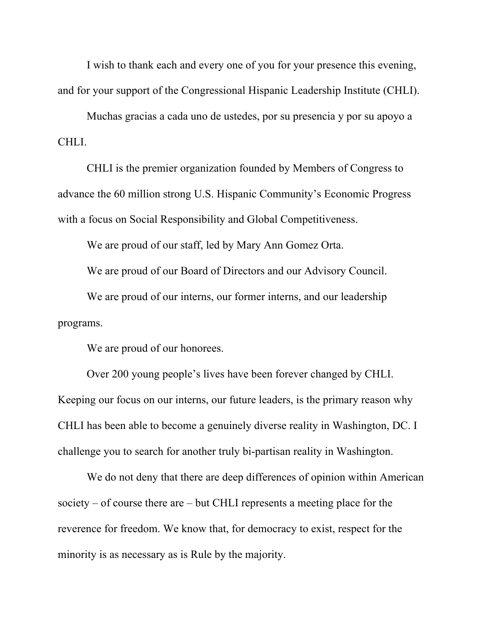I wish to thank each and every one of you for your presence this evening, and for your support of the Congressional Hispanic Leadership Institute (CHLI).

Muchas gracias a cada uno de ustedes, por su presencia y por su apoyo a CHLI.

CHLI is the premier organization founded by Members of Congress to advance the 60 million strong U.S. Hispanic Community's Economic Progress with a focus on Social Responsibility and Global Competitiveness.

We are proud of our staff, led by Mary Ann Gomez Orta.

We are proud of our Board of Directors and our Advisory Council.

We are proud of our interns, our former interns, and our leadership programs.

We are proud of our honorees.

Over 200 young people's lives have been forever changed by CHLI. Keeping our focus on our interns, our future leaders, is the primary reason why CHLI has been able to become a genuinely diverse reality in Washington, DC. I challenge you to search for another truly bi-partisan reality in Washington.

We do not deny that there are deep differences of opinion within American society – of course there are – but CHLI represents a meeting place for the reverence for freedom. We know that, for democracy to exist, respect for the minority is as necessary as is Rule by the majority.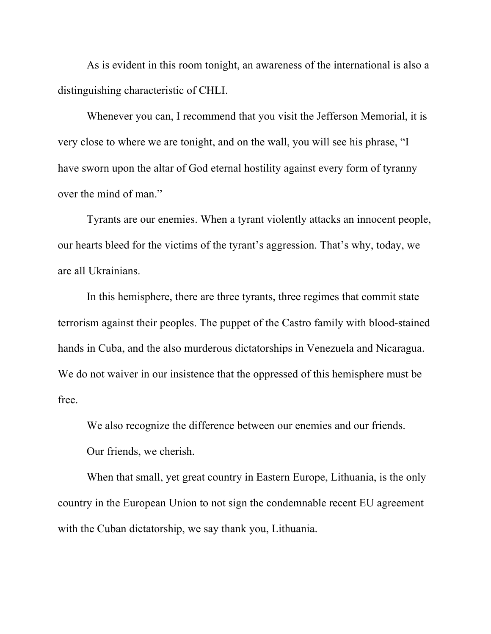As is evident in this room tonight, an awareness of the international is also a distinguishing characteristic of CHLI.

Whenever you can, I recommend that you visit the Jefferson Memorial, it is very close to where we are tonight, and on the wall, you will see his phrase, "I have sworn upon the altar of God eternal hostility against every form of tyranny over the mind of man."

Tyrants are our enemies. When a tyrant violently attacks an innocent people, our hearts bleed for the victims of the tyrant's aggression. That's why, today, we are all Ukrainians.

In this hemisphere, there are three tyrants, three regimes that commit state terrorism against their peoples. The puppet of the Castro family with blood-stained hands in Cuba, and the also murderous dictatorships in Venezuela and Nicaragua. We do not waiver in our insistence that the oppressed of this hemisphere must be free.

We also recognize the difference between our enemies and our friends. Our friends, we cherish.

When that small, yet great country in Eastern Europe, Lithuania, is the only country in the European Union to not sign the condemnable recent EU agreement with the Cuban dictatorship, we say thank you, Lithuania.